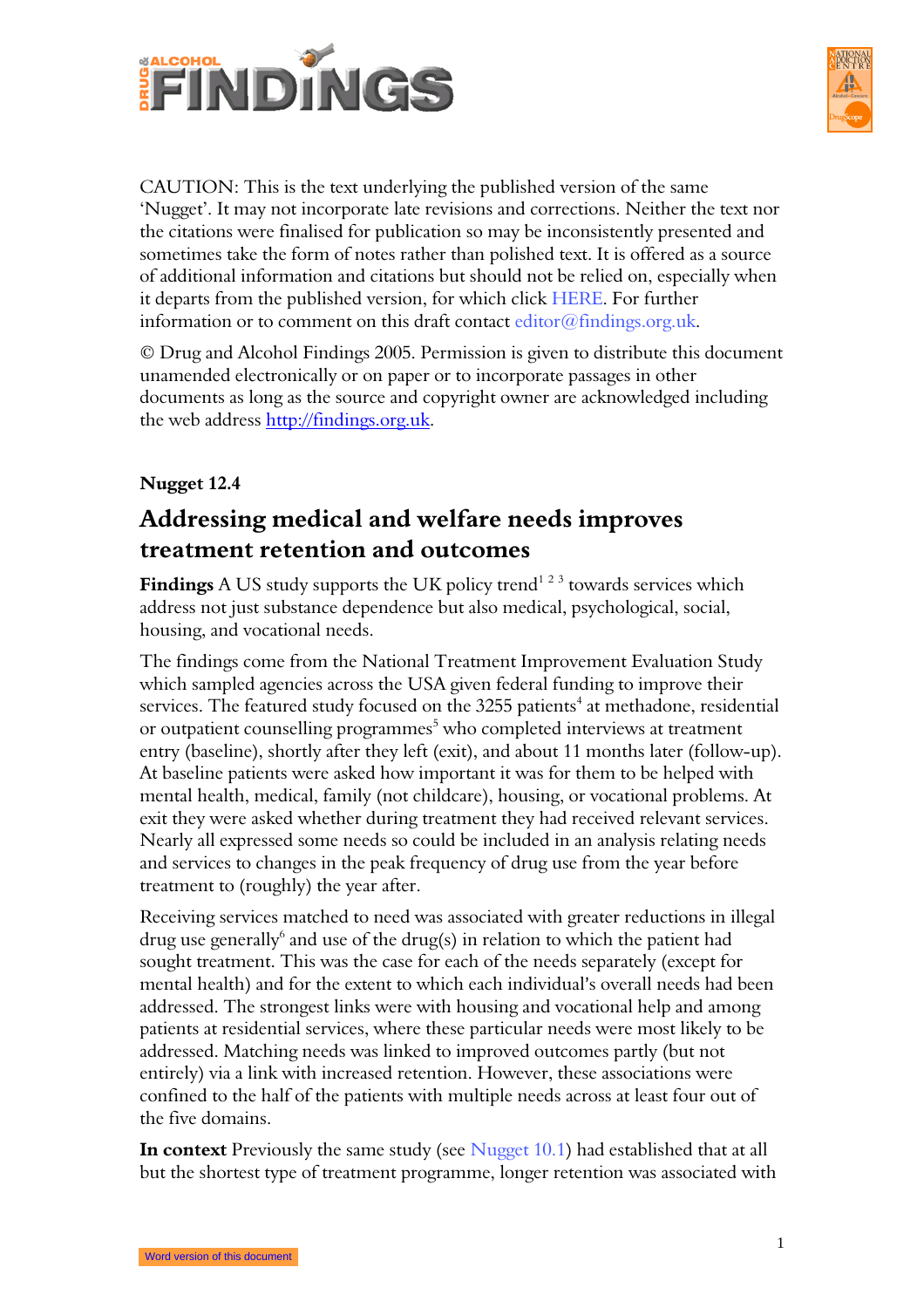



CAUTION: This is the text underlying the published version of the same 'Nugget'. It may not incorporate late revisions and corrections. Neither the text nor the citations were finalised for publication so may be inconsistently presented and sometimes take the form of notes rather than polished text. It is offered as a source of additional information and citations but should not be relied on, especially when it departs from the published version, for which click HERE. For further information or to comment on this draft contact editor@findings.org.uk.

© Drug and Alcohol Findings 2005. Permission is given to distribute this document unamended electronically or on paper or to incorporate passages in other documents as long as the source and copyright owner are acknowledged including the web address http://findings.org.uk.

## Nugget 12.4

## Addressing medical and welfare needs improves treatment retention and outcomes

**Findings** A US study supports the UK policy trend<sup>123</sup> towards services which address not just substance dependence but also medical, psychological, social, housing, and vocational needs.

The findings come from the National Treatment Improvement Evaluation Study which sampled agencies across the USA given federal funding to improve their services. The featured study focused on the 3255 patients $^4$  at methadone, residential or outpatient counselling programmes<sup>5</sup> who completed interviews at treatment entry (baseline), shortly after they left (exit), and about 11 months later (follow-up). At baseline patients were asked how important it was for them to be helped with mental health, medical, family (not childcare), housing, or vocational problems. At exit they were asked whether during treatment they had received relevant services. Nearly all expressed some needs so could be included in an analysis relating needs and services to changes in the peak frequency of drug use from the year before treatment to (roughly) the year after.

Receiving services matched to need was associated with greater reductions in illegal drug use generally $^6$  and use of the drug(s) in relation to which the patient had sought treatment. This was the case for each of the needs separately (except for mental health) and for the extent to which each individual's overall needs had been addressed. The strongest links were with housing and vocational help and among patients at residential services, where these particular needs were most likely to be addressed. Matching needs was linked to improved outcomes partly (but not entirely) via a link with increased retention. However, these associations were confined to the half of the patients with multiple needs across at least four out of the five domains.

In context Previously the same study (see Nugget 10.1) had established that at all but the shortest type of treatment programme, longer retention was associated with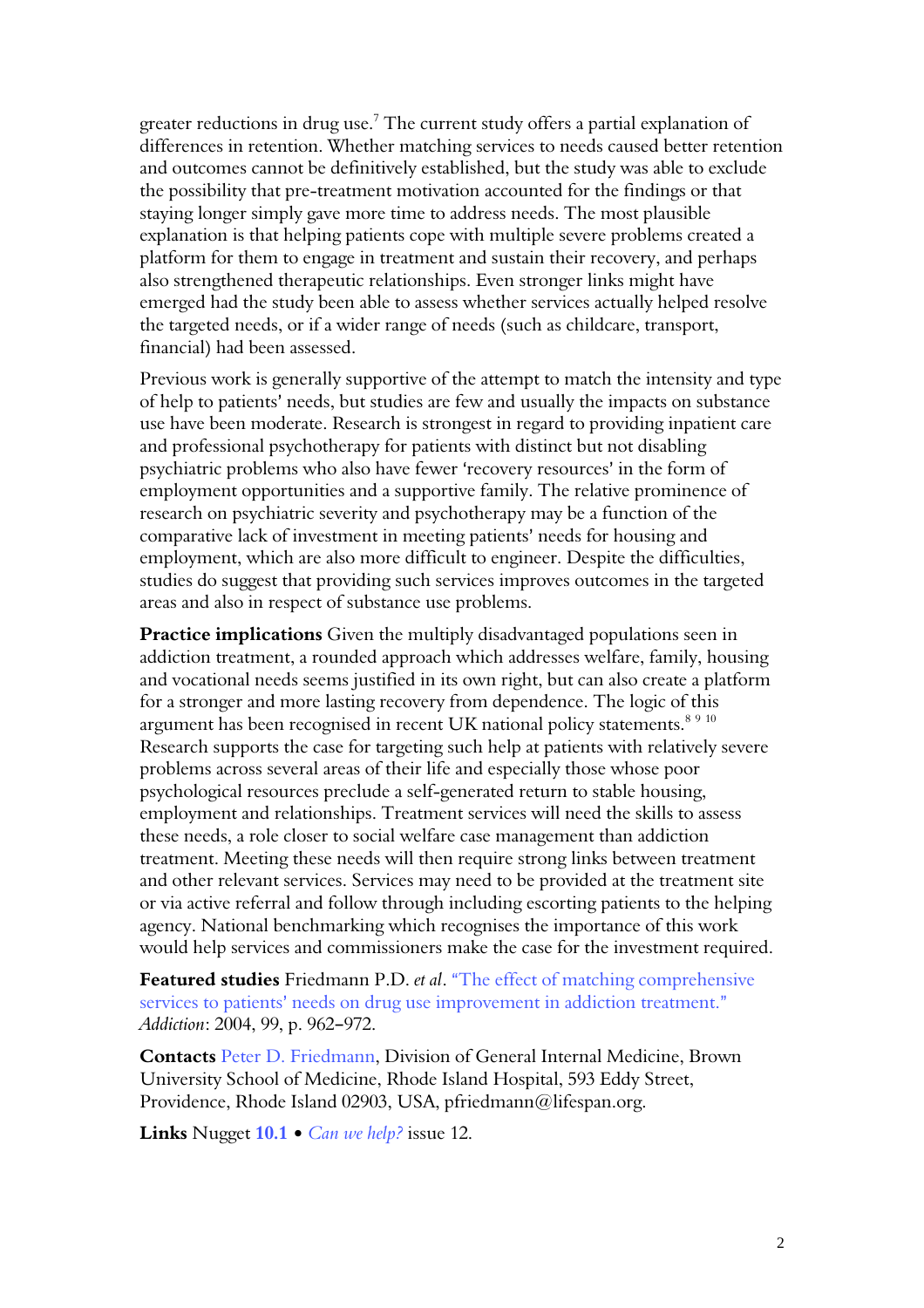greater reductions in drug use. $^7$  The current study offers a partial explanation of differences in retention. Whether matching services to needs caused better retention and outcomes cannot be definitively established, but the study was able to exclude the possibility that pre-treatment motivation accounted for the findings or that staying longer simply gave more time to address needs. The most plausible explanation is that helping patients cope with multiple severe problems created a platform for them to engage in treatment and sustain their recovery, and perhaps also strengthened therapeutic relationships. Even stronger links might have emerged had the study been able to assess whether services actually helped resolve the targeted needs, or if a wider range of needs (such as childcare, transport, financial) had been assessed.

Previous work is generally supportive of the attempt to match the intensity and type of help to patients' needs, but studies are few and usually the impacts on substance use have been moderate. Research is strongest in regard to providing inpatient care and professional psychotherapy for patients with distinct but not disabling psychiatric problems who also have fewer 'recovery resources' in the form of employment opportunities and a supportive family. The relative prominence of research on psychiatric severity and psychotherapy may be a function of the comparative lack of investment in meeting patients' needs for housing and employment, which are also more difficult to engineer. Despite the difficulties, studies do suggest that providing such services improves outcomes in the targeted areas and also in respect of substance use problems.

Practice implications Given the multiply disadvantaged populations seen in addiction treatment, a rounded approach which addresses welfare, family, housing and vocational needs seems justified in its own right, but can also create a platform for a stronger and more lasting recovery from dependence. The logic of this argument has been recognised in recent UK national policy statements.<sup>8 9 10</sup> Research supports the case for targeting such help at patients with relatively severe problems across several areas of their life and especially those whose poor psychological resources preclude a self-generated return to stable housing, employment and relationships. Treatment services will need the skills to assess these needs, a role closer to social welfare case management than addiction treatment. Meeting these needs will then require strong links between treatment and other relevant services. Services may need to be provided at the treatment site or via active referral and follow through including escorting patients to the helping agency. National benchmarking which recognises the importance of this work would help services and commissioners make the case for the investment required.

Featured studies Friedmann P.D. et al. "The effect of matching comprehensive services to patients' needs on drug use improvement in addiction treatment." Addiction: 2004, 99, p. 962-972.

Contacts Peter D. Friedmann, Division of General Internal Medicine, Brown University School of Medicine, Rhode Island Hospital, 593 Eddy Street, Providence, Rhode Island 02903, USA, pfriedmann@lifespan.org.

Links Nugget  $10.1 \cdot$  Can we help? issue 12.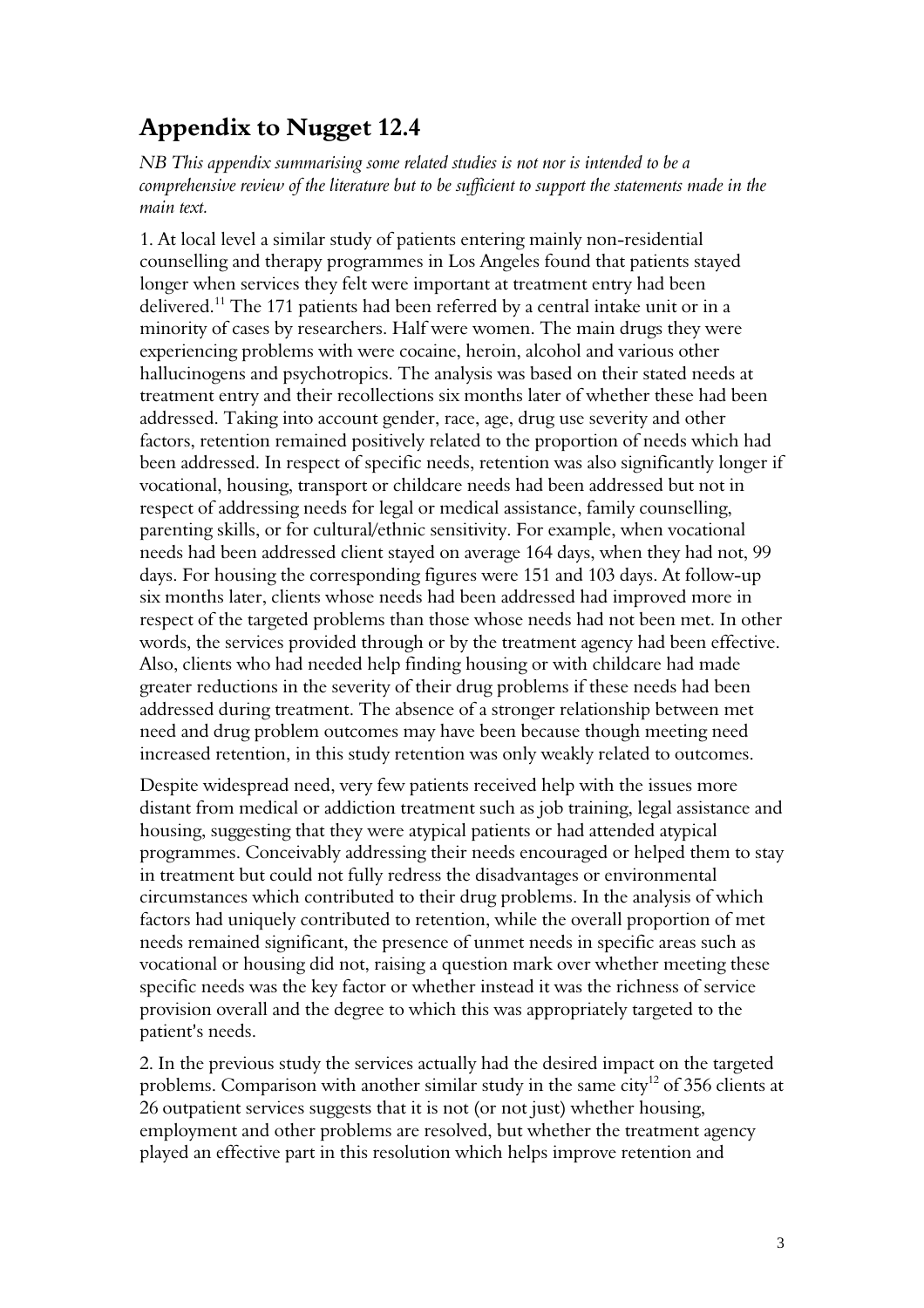## Appendix to Nugget 12.4

NB This appendix summarising some related studies is not nor is intended to be a comprehensive review of the literature but to be sufficient to support the statements made in the main text.

1. At local level a similar study of patients entering mainly non-residential counselling and therapy programmes in Los Angeles found that patients stayed longer when services they felt were important at treatment entry had been delivered.<sup>11</sup> The 171 patients had been referred by a central intake unit or in a minority of cases by researchers. Half were women. The main drugs they were experiencing problems with were cocaine, heroin, alcohol and various other hallucinogens and psychotropics. The analysis was based on their stated needs at treatment entry and their recollections six months later of whether these had been addressed. Taking into account gender, race, age, drug use severity and other factors, retention remained positively related to the proportion of needs which had been addressed. In respect of specific needs, retention was also significantly longer if vocational, housing, transport or childcare needs had been addressed but not in respect of addressing needs for legal or medical assistance, family counselling, parenting skills, or for cultural/ethnic sensitivity. For example, when vocational needs had been addressed client stayed on average 164 days, when they had not, 99 days. For housing the corresponding figures were 151 and 103 days. At follow-up six months later, clients whose needs had been addressed had improved more in respect of the targeted problems than those whose needs had not been met. In other words, the services provided through or by the treatment agency had been effective. Also, clients who had needed help finding housing or with childcare had made greater reductions in the severity of their drug problems if these needs had been addressed during treatment. The absence of a stronger relationship between met need and drug problem outcomes may have been because though meeting need increased retention, in this study retention was only weakly related to outcomes.

Despite widespread need, very few patients received help with the issues more distant from medical or addiction treatment such as job training, legal assistance and housing, suggesting that they were atypical patients or had attended atypical programmes. Conceivably addressing their needs encouraged or helped them to stay in treatment but could not fully redress the disadvantages or environmental circumstances which contributed to their drug problems. In the analysis of which factors had uniquely contributed to retention, while the overall proportion of met needs remained significant, the presence of unmet needs in specific areas such as vocational or housing did not, raising a question mark over whether meeting these specific needs was the key factor or whether instead it was the richness of service provision overall and the degree to which this was appropriately targeted to the patient's needs.

2. In the previous study the services actually had the desired impact on the targeted problems. Comparison with another similar study in the same city<sup>12</sup> of 356 clients at 26 outpatient services suggests that it is not (or not just) whether housing, employment and other problems are resolved, but whether the treatment agency played an effective part in this resolution which helps improve retention and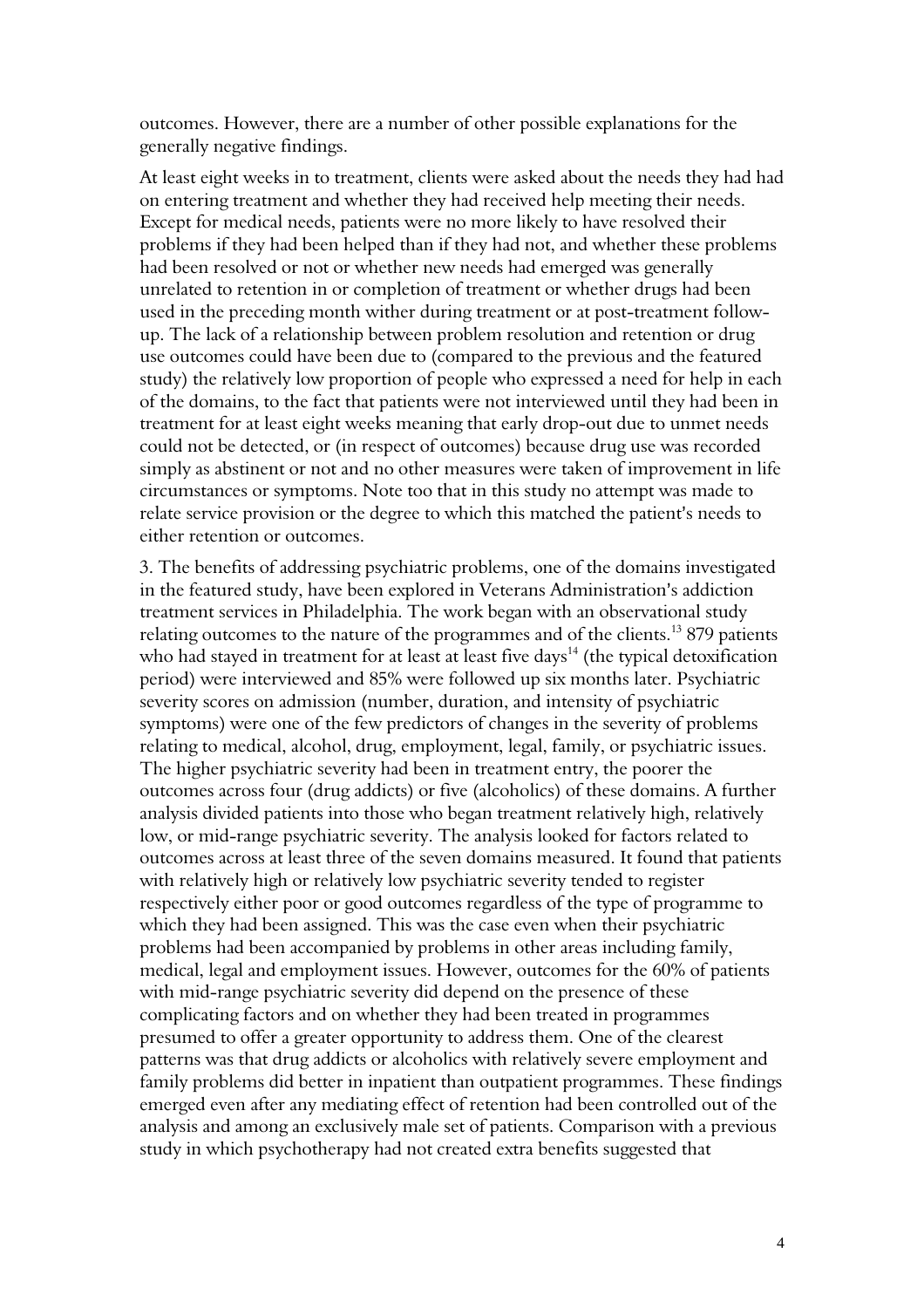outcomes. However, there are a number of other possible explanations for the generally negative findings.

At least eight weeks in to treatment, clients were asked about the needs they had had on entering treatment and whether they had received help meeting their needs. Except for medical needs, patients were no more likely to have resolved their problems if they had been helped than if they had not, and whether these problems had been resolved or not or whether new needs had emerged was generally unrelated to retention in or completion of treatment or whether drugs had been used in the preceding month wither during treatment or at post-treatment followup. The lack of a relationship between problem resolution and retention or drug use outcomes could have been due to (compared to the previous and the featured study) the relatively low proportion of people who expressed a need for help in each of the domains, to the fact that patients were not interviewed until they had been in treatment for at least eight weeks meaning that early drop-out due to unmet needs could not be detected, or (in respect of outcomes) because drug use was recorded simply as abstinent or not and no other measures were taken of improvement in life circumstances or symptoms. Note too that in this study no attempt was made to relate service provision or the degree to which this matched the patient's needs to either retention or outcomes.

3. The benefits of addressing psychiatric problems, one of the domains investigated in the featured study, have been explored in Veterans Administration's addiction treatment services in Philadelphia. The work began with an observational study relating outcomes to the nature of the programmes and of the clients.<sup>13</sup> 879 patients who had stayed in treatment for at least at least five days<sup>14</sup> (the typical detoxification period) were interviewed and 85% were followed up six months later. Psychiatric severity scores on admission (number, duration, and intensity of psychiatric symptoms) were one of the few predictors of changes in the severity of problems relating to medical, alcohol, drug, employment, legal, family, or psychiatric issues. The higher psychiatric severity had been in treatment entry, the poorer the outcomes across four (drug addicts) or five (alcoholics) of these domains. A further analysis divided patients into those who began treatment relatively high, relatively low, or mid-range psychiatric severity. The analysis looked for factors related to outcomes across at least three of the seven domains measured. It found that patients with relatively high or relatively low psychiatric severity tended to register respectively either poor or good outcomes regardless of the type of programme to which they had been assigned. This was the case even when their psychiatric problems had been accompanied by problems in other areas including family, medical, legal and employment issues. However, outcomes for the 60% of patients with mid-range psychiatric severity did depend on the presence of these complicating factors and on whether they had been treated in programmes presumed to offer a greater opportunity to address them. One of the clearest patterns was that drug addicts or alcoholics with relatively severe employment and family problems did better in inpatient than outpatient programmes. These findings emerged even after any mediating effect of retention had been controlled out of the analysis and among an exclusively male set of patients. Comparison with a previous study in which psychotherapy had not created extra benefits suggested that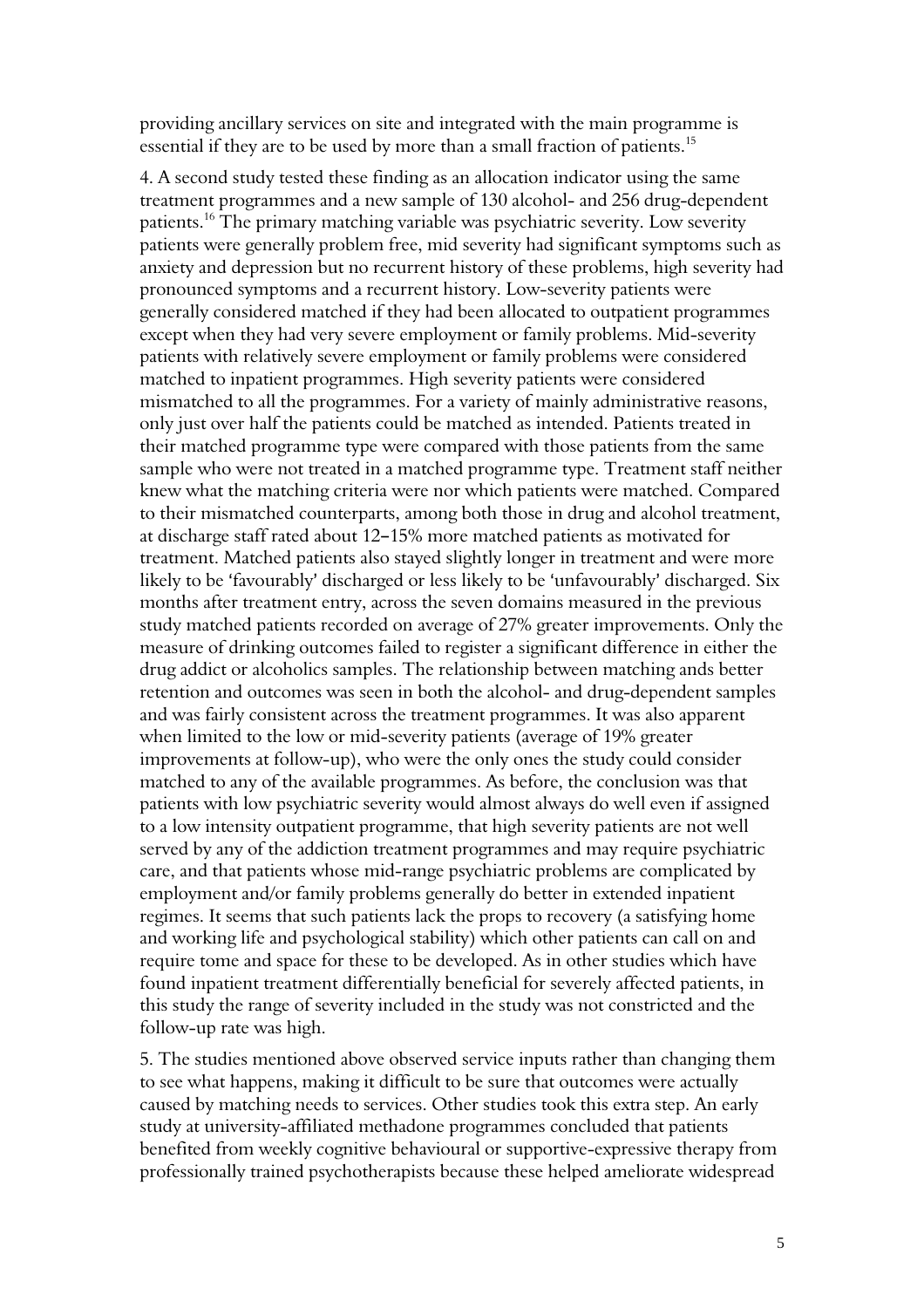providing ancillary services on site and integrated with the main programme is essential if they are to be used by more than a small fraction of patients.<sup>15</sup>

4. A second study tested these finding as an allocation indicator using the same treatment programmes and a new sample of 130 alcohol- and 256 drug-dependent patients.<sup>16</sup> The primary matching variable was psychiatric severity. Low severity patients were generally problem free, mid severity had significant symptoms such as anxiety and depression but no recurrent history of these problems, high severity had pronounced symptoms and a recurrent history. Low-severity patients were generally considered matched if they had been allocated to outpatient programmes except when they had very severe employment or family problems. Mid-severity patients with relatively severe employment or family problems were considered matched to inpatient programmes. High severity patients were considered mismatched to all the programmes. For a variety of mainly administrative reasons, only just over half the patients could be matched as intended. Patients treated in their matched programme type were compared with those patients from the same sample who were not treated in a matched programme type. Treatment staff neither knew what the matching criteria were nor which patients were matched. Compared to their mismatched counterparts, among both those in drug and alcohol treatment, at discharge staff rated about 12-15% more matched patients as motivated for treatment. Matched patients also stayed slightly longer in treatment and were more likely to be 'favourably' discharged or less likely to be 'unfavourably' discharged. Six months after treatment entry, across the seven domains measured in the previous study matched patients recorded on average of 27% greater improvements. Only the measure of drinking outcomes failed to register a significant difference in either the drug addict or alcoholics samples. The relationship between matching ands better retention and outcomes was seen in both the alcohol- and drug-dependent samples and was fairly consistent across the treatment programmes. It was also apparent when limited to the low or mid-severity patients (average of 19% greater improvements at follow-up), who were the only ones the study could consider matched to any of the available programmes. As before, the conclusion was that patients with low psychiatric severity would almost always do well even if assigned to a low intensity outpatient programme, that high severity patients are not well served by any of the addiction treatment programmes and may require psychiatric care, and that patients whose mid-range psychiatric problems are complicated by employment and/or family problems generally do better in extended inpatient regimes. It seems that such patients lack the props to recovery (a satisfying home and working life and psychological stability) which other patients can call on and require tome and space for these to be developed. As in other studies which have found inpatient treatment differentially beneficial for severely affected patients, in this study the range of severity included in the study was not constricted and the follow-up rate was high.

5. The studies mentioned above observed service inputs rather than changing them to see what happens, making it difficult to be sure that outcomes were actually caused by matching needs to services. Other studies took this extra step. An early study at university-affiliated methadone programmes concluded that patients benefited from weekly cognitive behavioural or supportive-expressive therapy from professionally trained psychotherapists because these helped ameliorate widespread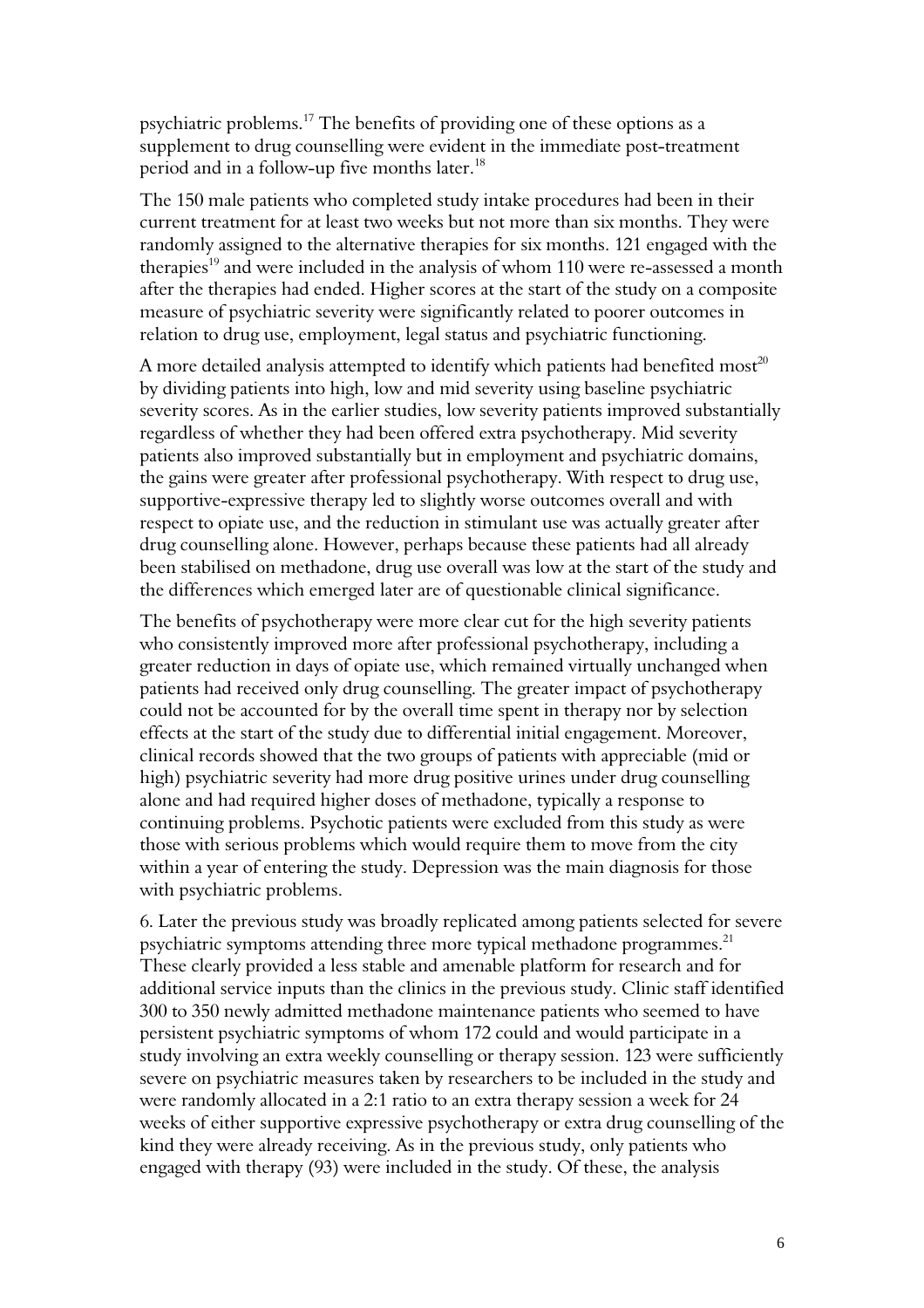psychiatric problems.<sup>17</sup> The benefits of providing one of these options as a supplement to drug counselling were evident in the immediate post-treatment period and in a follow-up five months later.<sup>18</sup>

The 150 male patients who completed study intake procedures had been in their current treatment for at least two weeks but not more than six months. They were randomly assigned to the alternative therapies for six months. 121 engaged with the therapies<sup>19</sup> and were included in the analysis of whom 110 were re-assessed a month after the therapies had ended. Higher scores at the start of the study on a composite measure of psychiatric severity were significantly related to poorer outcomes in relation to drug use, employment, legal status and psychiatric functioning.

A more detailed analysis attempted to identify which patients had benefited most<sup>20</sup> by dividing patients into high, low and mid severity using baseline psychiatric severity scores. As in the earlier studies, low severity patients improved substantially regardless of whether they had been offered extra psychotherapy. Mid severity patients also improved substantially but in employment and psychiatric domains, the gains were greater after professional psychotherapy. With respect to drug use, supportive-expressive therapy led to slightly worse outcomes overall and with respect to opiate use, and the reduction in stimulant use was actually greater after drug counselling alone. However, perhaps because these patients had all already been stabilised on methadone, drug use overall was low at the start of the study and the differences which emerged later are of questionable clinical significance.

The benefits of psychotherapy were more clear cut for the high severity patients who consistently improved more after professional psychotherapy, including a greater reduction in days of opiate use, which remained virtually unchanged when patients had received only drug counselling. The greater impact of psychotherapy could not be accounted for by the overall time spent in therapy nor by selection effects at the start of the study due to differential initial engagement. Moreover, clinical records showed that the two groups of patients with appreciable (mid or high) psychiatric severity had more drug positive urines under drug counselling alone and had required higher doses of methadone, typically a response to continuing problems. Psychotic patients were excluded from this study as were those with serious problems which would require them to move from the city within a year of entering the study. Depression was the main diagnosis for those with psychiatric problems.

6. Later the previous study was broadly replicated among patients selected for severe psychiatric symptoms attending three more typical methadone programmes. $^{21}$ These clearly provided a less stable and amenable platform for research and for additional service inputs than the clinics in the previous study. Clinic staff identified 300 to 350 newly admitted methadone maintenance patients who seemed to have persistent psychiatric symptoms of whom 172 could and would participate in a study involving an extra weekly counselling or therapy session. 123 were sufficiently severe on psychiatric measures taken by researchers to be included in the study and were randomly allocated in a 2:1 ratio to an extra therapy session a week for 24 weeks of either supportive expressive psychotherapy or extra drug counselling of the kind they were already receiving. As in the previous study, only patients who engaged with therapy (93) were included in the study. Of these, the analysis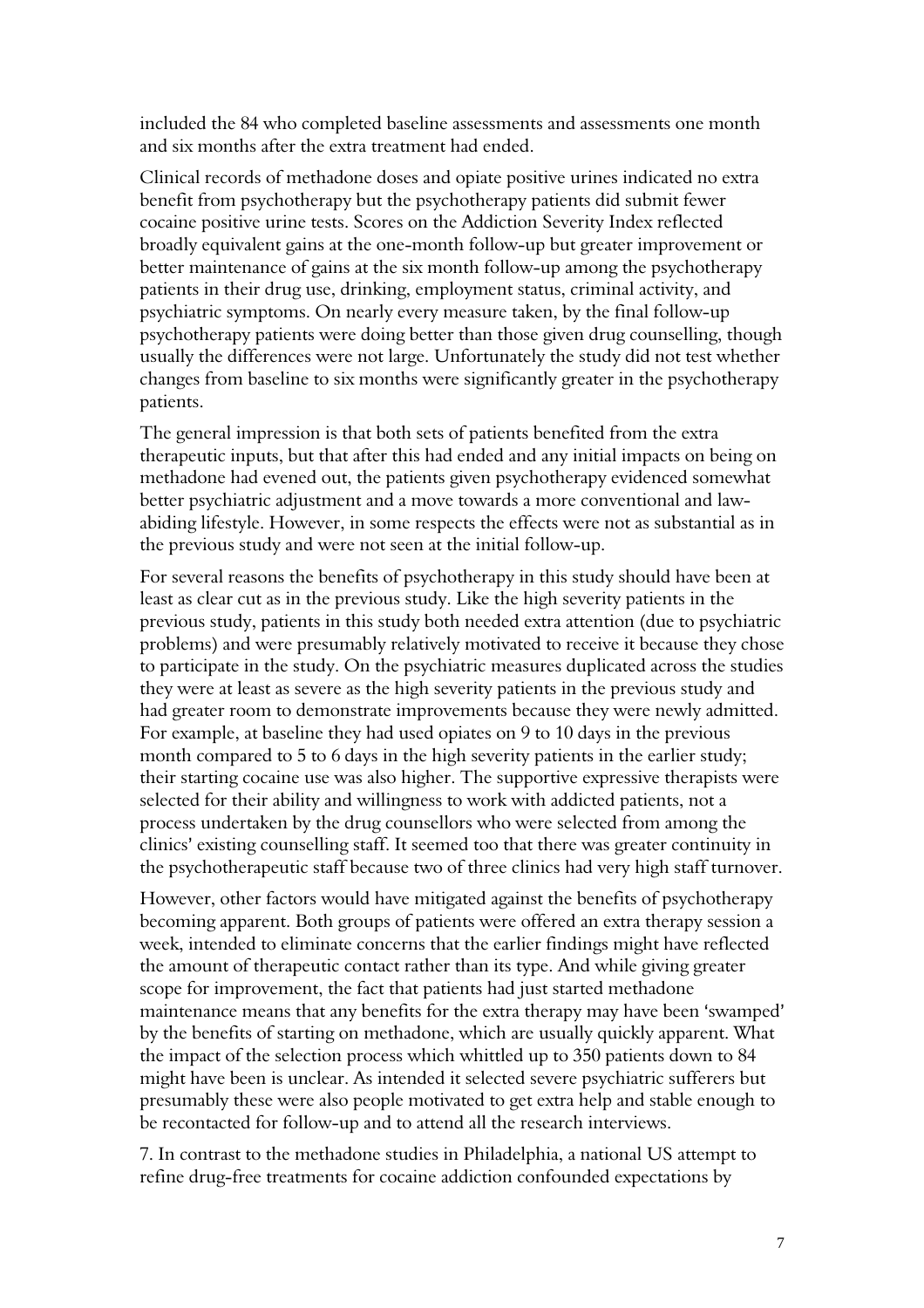included the 84 who completed baseline assessments and assessments one month and six months after the extra treatment had ended.

Clinical records of methadone doses and opiate positive urines indicated no extra benefit from psychotherapy but the psychotherapy patients did submit fewer cocaine positive urine tests. Scores on the Addiction Severity Index reflected broadly equivalent gains at the one-month follow-up but greater improvement or better maintenance of gains at the six month follow-up among the psychotherapy patients in their drug use, drinking, employment status, criminal activity, and psychiatric symptoms. On nearly every measure taken, by the final follow-up psychotherapy patients were doing better than those given drug counselling, though usually the differences were not large. Unfortunately the study did not test whether changes from baseline to six months were significantly greater in the psychotherapy patients.

The general impression is that both sets of patients benefited from the extra therapeutic inputs, but that after this had ended and any initial impacts on being on methadone had evened out, the patients given psychotherapy evidenced somewhat better psychiatric adjustment and a move towards a more conventional and lawabiding lifestyle. However, in some respects the effects were not as substantial as in the previous study and were not seen at the initial follow-up.

For several reasons the benefits of psychotherapy in this study should have been at least as clear cut as in the previous study. Like the high severity patients in the previous study, patients in this study both needed extra attention (due to psychiatric problems) and were presumably relatively motivated to receive it because they chose to participate in the study. On the psychiatric measures duplicated across the studies they were at least as severe as the high severity patients in the previous study and had greater room to demonstrate improvements because they were newly admitted. For example, at baseline they had used opiates on 9 to 10 days in the previous month compared to 5 to 6 days in the high severity patients in the earlier study; their starting cocaine use was also higher. The supportive expressive therapists were selected for their ability and willingness to work with addicted patients, not a process undertaken by the drug counsellors who were selected from among the clinics' existing counselling staff. It seemed too that there was greater continuity in the psychotherapeutic staff because two of three clinics had very high staff turnover.

However, other factors would have mitigated against the benefits of psychotherapy becoming apparent. Both groups of patients were offered an extra therapy session a week, intended to eliminate concerns that the earlier findings might have reflected the amount of therapeutic contact rather than its type. And while giving greater scope for improvement, the fact that patients had just started methadone maintenance means that any benefits for the extra therapy may have been 'swamped' by the benefits of starting on methadone, which are usually quickly apparent. What the impact of the selection process which whittled up to 350 patients down to 84 might have been is unclear. As intended it selected severe psychiatric sufferers but presumably these were also people motivated to get extra help and stable enough to be recontacted for follow-up and to attend all the research interviews.

7. In contrast to the methadone studies in Philadelphia, a national US attempt to refine drug-free treatments for cocaine addiction confounded expectations by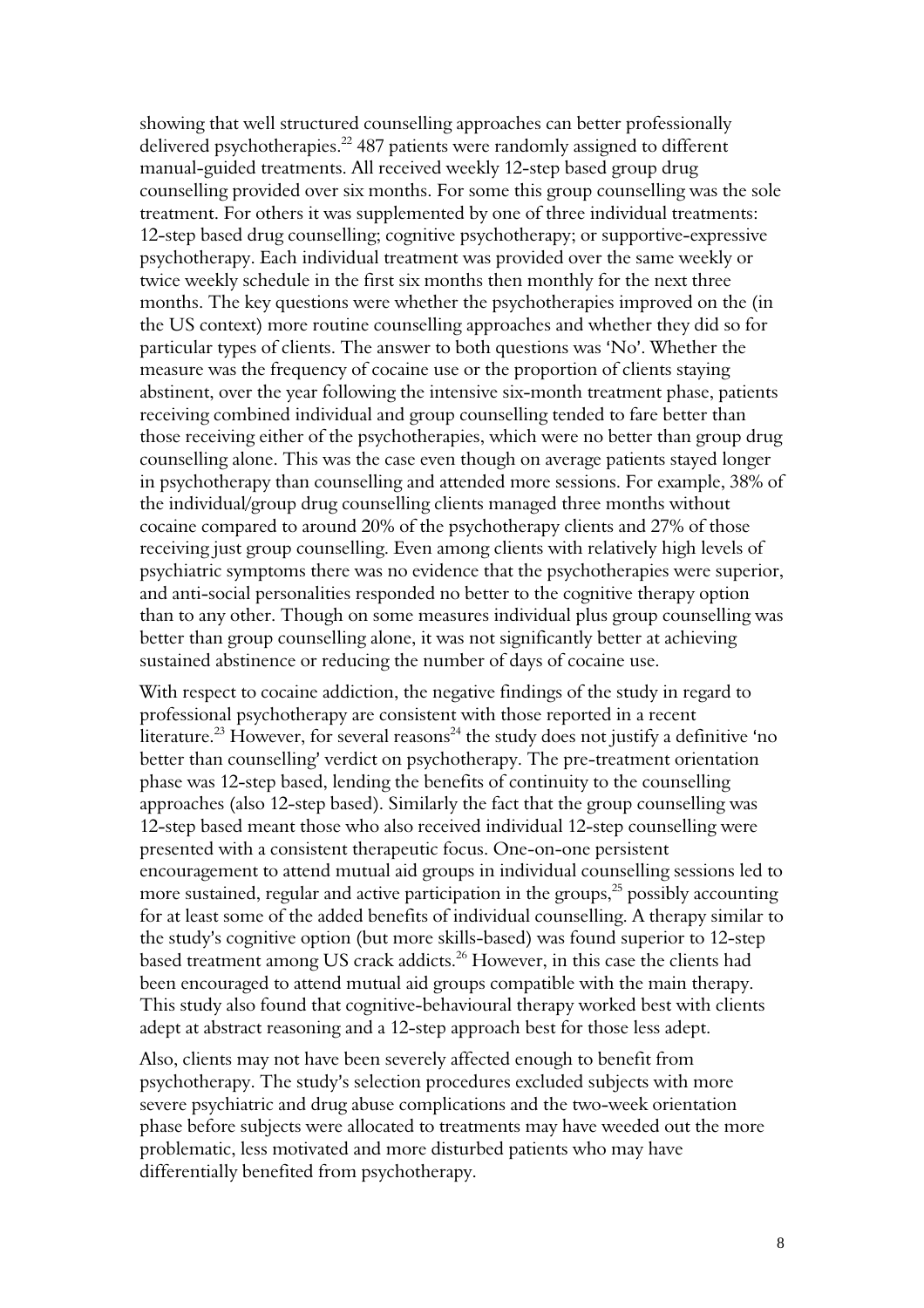showing that well structured counselling approaches can better professionally delivered psychotherapies.<sup>22</sup> 487 patients were randomly assigned to different manual-guided treatments. All received weekly 12-step based group drug counselling provided over six months. For some this group counselling was the sole treatment. For others it was supplemented by one of three individual treatments: 12-step based drug counselling; cognitive psychotherapy; or supportive-expressive psychotherapy. Each individual treatment was provided over the same weekly or twice weekly schedule in the first six months then monthly for the next three months. The key questions were whether the psychotherapies improved on the (in the US context) more routine counselling approaches and whether they did so for particular types of clients. The answer to both questions was 'No'. Whether the measure was the frequency of cocaine use or the proportion of clients staying abstinent, over the year following the intensive six-month treatment phase, patients receiving combined individual and group counselling tended to fare better than those receiving either of the psychotherapies, which were no better than group drug counselling alone. This was the case even though on average patients stayed longer in psychotherapy than counselling and attended more sessions. For example, 38% of the individual/group drug counselling clients managed three months without cocaine compared to around 20% of the psychotherapy clients and 27% of those receiving just group counselling. Even among clients with relatively high levels of psychiatric symptoms there was no evidence that the psychotherapies were superior, and anti-social personalities responded no better to the cognitive therapy option than to any other. Though on some measures individual plus group counselling was better than group counselling alone, it was not significantly better at achieving sustained abstinence or reducing the number of days of cocaine use.

With respect to cocaine addiction, the negative findings of the study in regard to professional psychotherapy are consistent with those reported in a recent literature.<sup>23</sup> However, for several reasons<sup>24</sup> the study does not justify a definitive 'no better than counselling' verdict on psychotherapy. The pre-treatment orientation phase was 12-step based, lending the benefits of continuity to the counselling approaches (also 12-step based). Similarly the fact that the group counselling was 12-step based meant those who also received individual 12-step counselling were presented with a consistent therapeutic focus. One-on-one persistent encouragement to attend mutual aid groups in individual counselling sessions led to more sustained, regular and active participation in the groups,<sup>25</sup> possibly accounting for at least some of the added benefits of individual counselling. A therapy similar to the study's cognitive option (but more skills-based) was found superior to 12-step based treatment among US crack addicts.<sup>26</sup> However, in this case the clients had been encouraged to attend mutual aid groups compatible with the main therapy. This study also found that cognitive-behavioural therapy worked best with clients adept at abstract reasoning and a 12-step approach best for those less adept.

Also, clients may not have been severely affected enough to benefit from psychotherapy. The study's selection procedures excluded subjects with more severe psychiatric and drug abuse complications and the two-week orientation phase before subjects were allocated to treatments may have weeded out the more problematic, less motivated and more disturbed patients who may have differentially benefited from psychotherapy.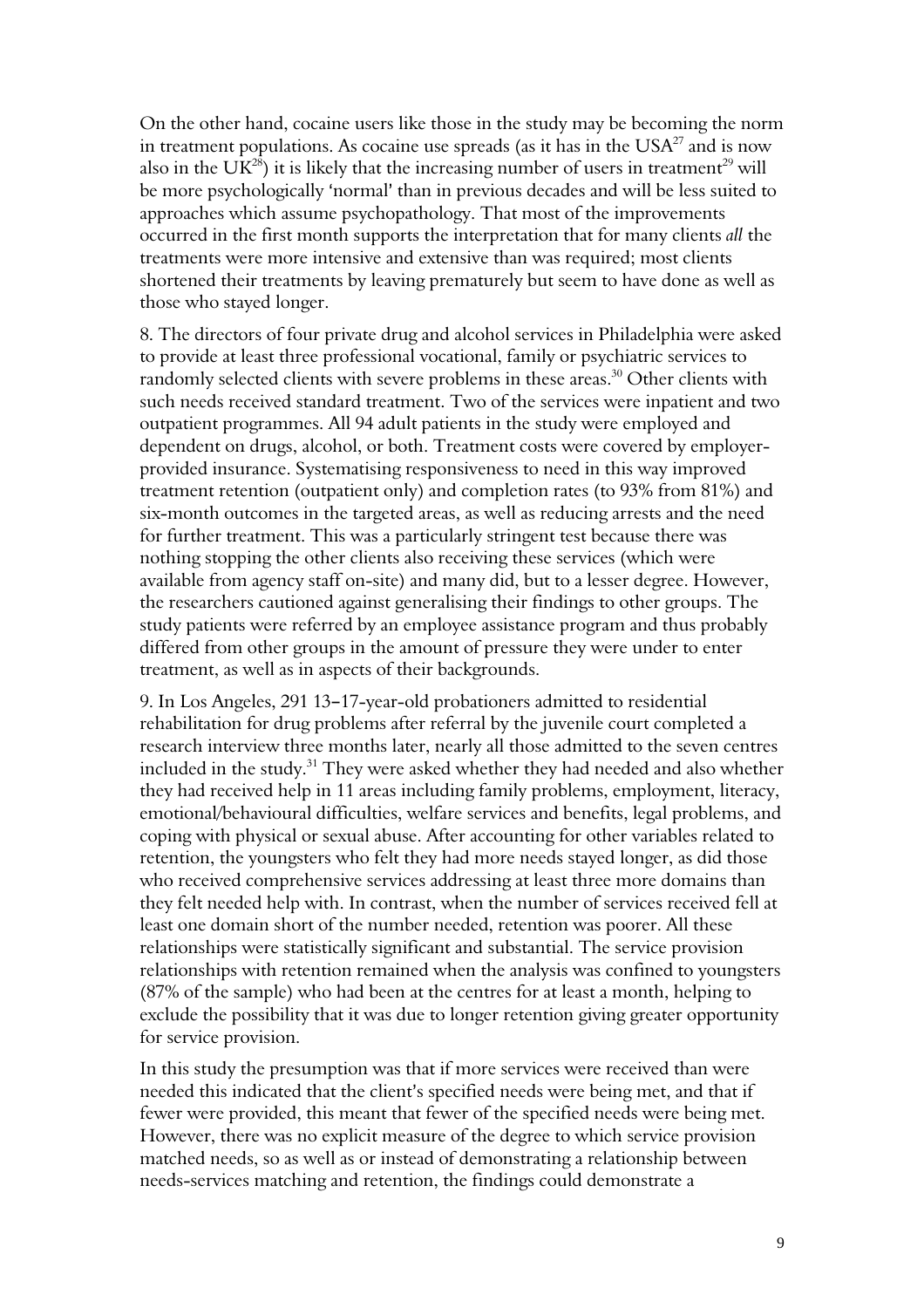On the other hand, cocaine users like those in the study may be becoming the norm in treatment populations. As cocaine use spreads (as it has in the  $USA^{27}$  and is now also in the UK<sup>28</sup>) it is likely that the increasing number of users in treatment<sup>29</sup> will be more psychologically 'normal' than in previous decades and will be less suited to approaches which assume psychopathology. That most of the improvements occurred in the first month supports the interpretation that for many clients all the treatments were more intensive and extensive than was required; most clients shortened their treatments by leaving prematurely but seem to have done as well as those who stayed longer.

8. The directors of four private drug and alcohol services in Philadelphia were asked to provide at least three professional vocational, family or psychiatric services to randomly selected clients with severe problems in these areas.<sup>30</sup> Other clients with such needs received standard treatment. Two of the services were inpatient and two outpatient programmes. All 94 adult patients in the study were employed and dependent on drugs, alcohol, or both. Treatment costs were covered by employerprovided insurance. Systematising responsiveness to need in this way improved treatment retention (outpatient only) and completion rates (to 93% from 81%) and six-month outcomes in the targeted areas, as well as reducing arrests and the need for further treatment. This was a particularly stringent test because there was nothing stopping the other clients also receiving these services (which were available from agency staff on-site) and many did, but to a lesser degree. However, the researchers cautioned against generalising their findings to other groups. The study patients were referred by an employee assistance program and thus probably differed from other groups in the amount of pressure they were under to enter treatment, as well as in aspects of their backgrounds.

9. In Los Angeles, 291 13-17-year-old probationers admitted to residential rehabilitation for drug problems after referral by the juvenile court completed a research interview three months later, nearly all those admitted to the seven centres included in the study.<sup>31</sup> They were asked whether they had needed and also whether they had received help in 11 areas including family problems, employment, literacy, emotional/behavioural difficulties, welfare services and benefits, legal problems, and coping with physical or sexual abuse. After accounting for other variables related to retention, the youngsters who felt they had more needs stayed longer, as did those who received comprehensive services addressing at least three more domains than they felt needed help with. In contrast, when the number of services received fell at least one domain short of the number needed, retention was poorer. All these relationships were statistically significant and substantial. The service provision relationships with retention remained when the analysis was confined to youngsters (87% of the sample) who had been at the centres for at least a month, helping to exclude the possibility that it was due to longer retention giving greater opportunity for service provision.

In this study the presumption was that if more services were received than were needed this indicated that the client's specified needs were being met, and that if fewer were provided, this meant that fewer of the specified needs were being met. However, there was no explicit measure of the degree to which service provision matched needs, so as well as or instead of demonstrating a relationship between needs-services matching and retention, the findings could demonstrate a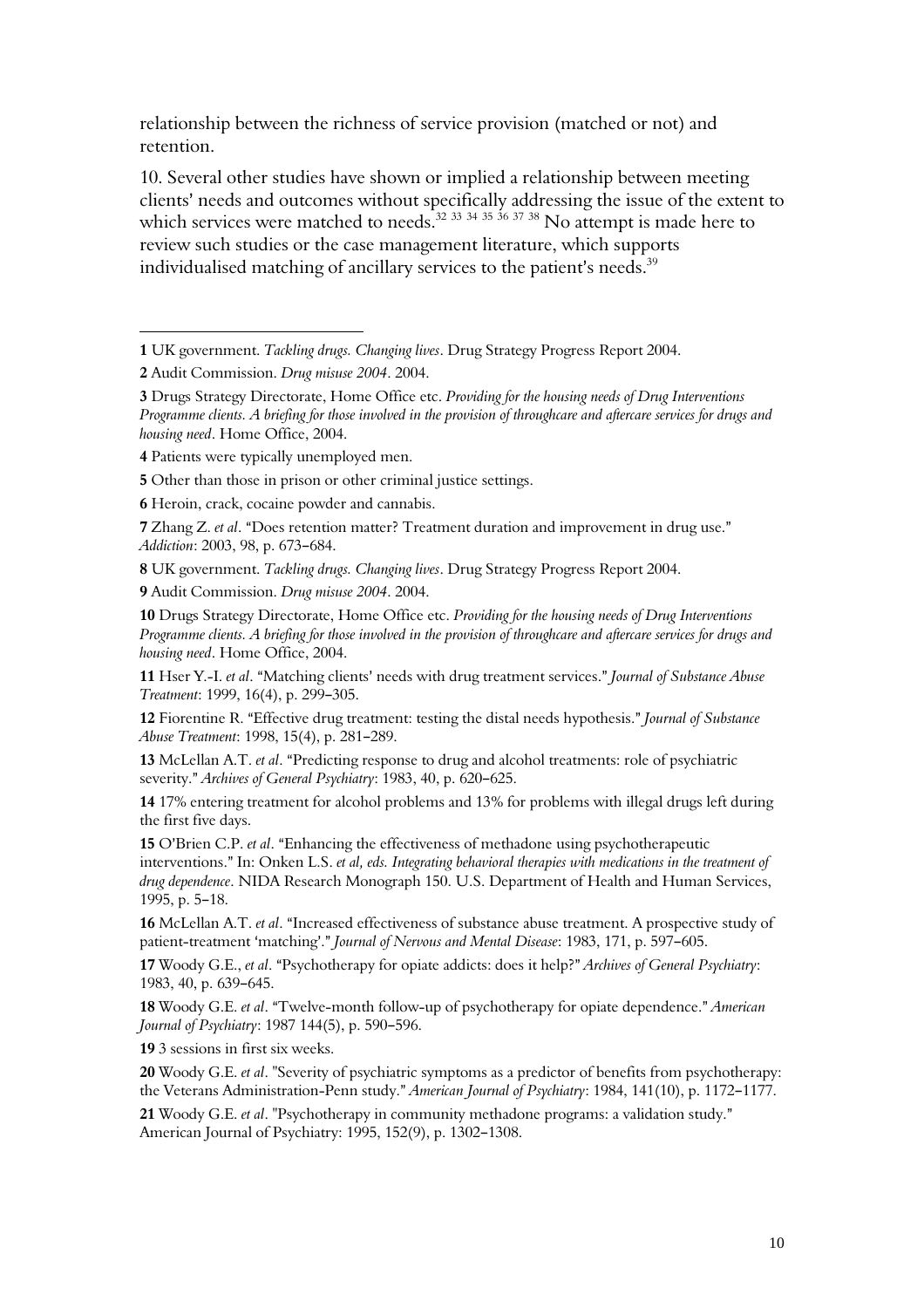relationship between the richness of service provision (matched or not) and retention.

10. Several other studies have shown or implied a relationship between meeting clients' needs and outcomes without specifically addressing the issue of the extent to which services were matched to needs.<sup>32 33 34 35</sup> 36 <sup>37</sup> 38 No attempt is made here to review such studies or the case management literature, which supports individualised matching of ancillary services to the patient's needs.<sup>39</sup>

 $\overline{a}$ 

3 Drugs Strategy Directorate, Home Office etc. Providing for the housing needs of Drug Interventions Programme clients. A briefing for those involved in the provision of throughcare and aftercare services for drugs and housing need. Home Office, 2004.

9 Audit Commission. Drug misuse 2004. 2004.

10 Drugs Strategy Directorate, Home Office etc. Providing for the housing needs of Drug Interventions Programme clients. A briefing for those involved in the provision of throughcare and aftercare services for drugs and housing need. Home Office, 2004.

11 Hser Y.-I. et al. "Matching clients' needs with drug treatment services." Journal of Substance Abuse Treatment: 1999, 16(4), p. 299-305.

12 Fiorentine R. "Effective drug treatment: testing the distal needs hypothesis." Journal of Substance Abuse Treatment: 1998, 15(4), p. 281-289.

13 McLellan A.T. et al. "Predicting response to drug and alcohol treatments: role of psychiatric severity." Archives of General Psychiatry: 1983, 40, p. 620-625.

14 17% entering treatment for alcohol problems and 13% for problems with illegal drugs left during the first five days.

15 O'Brien C.P. et al. "Enhancing the effectiveness of methadone using psychotherapeutic interventions." In: Onken L.S. et al, eds. Integrating behavioral therapies with medications in the treatment of drug dependence. NIDA Research Monograph 150. U.S. Department of Health and Human Services, 1995, p. 5-18.

16 McLellan A.T. et al. "Increased effectiveness of substance abuse treatment. A prospective study of patient-treatment 'matching'." Journal of Nervous and Mental Disease: 1983, 171, p. 597-605.

17 Woody G.E., et al. "Psychotherapy for opiate addicts: does it help?" Archives of General Psychiatry: 1983, 40, p. 639-645.

18 Woody G.E. et al. "Twelve-month follow-up of psychotherapy for opiate dependence." American Journal of Psychiatry: 1987 144(5), p. 590-596.

19 3 sessions in first six weeks.

20 Woody G.E. et al. "Severity of psychiatric symptoms as a predictor of benefits from psychotherapy: the Veterans Administration-Penn study." American Journal of Psychiatry: 1984, 141(10), p. 1172-1177.

21 Woody G.E. et al. "Psychotherapy in community methadone programs: a validation study." American Journal of Psychiatry: 1995, 152(9), p. 1302-1308.

<sup>1</sup> UK government. Tackling drugs. Changing lives. Drug Strategy Progress Report 2004.

<sup>2</sup> Audit Commission. Drug misuse 2004. 2004.

<sup>4</sup> Patients were typically unemployed men.

<sup>5</sup> Other than those in prison or other criminal justice settings.

<sup>6</sup> Heroin, crack, cocaine powder and cannabis.

<sup>7</sup> Zhang Z. et al. "Does retention matter? Treatment duration and improvement in drug use." Addiction: 2003, 98, p. 673-684.

<sup>8</sup> UK government. Tackling drugs. Changing lives. Drug Strategy Progress Report 2004.